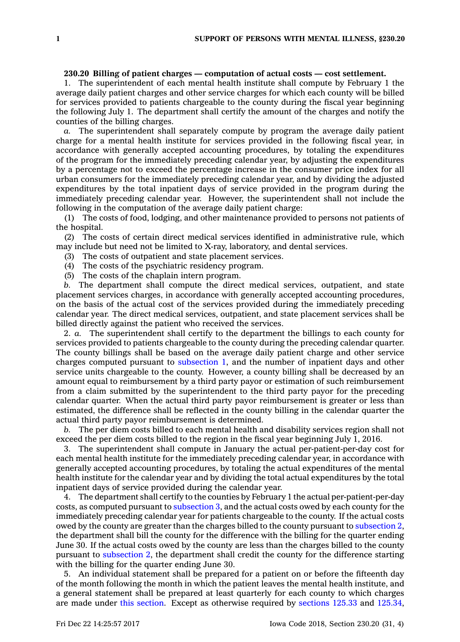## **230.20 Billing of patient charges — computation of actual costs — cost settlement.**

1. The superintendent of each mental health institute shall compute by February 1 the average daily patient charges and other service charges for which each county will be billed for services provided to patients chargeable to the county during the fiscal year beginning the following July 1. The department shall certify the amount of the charges and notify the counties of the billing charges.

*a.* The superintendent shall separately compute by program the average daily patient charge for <sup>a</sup> mental health institute for services provided in the following fiscal year, in accordance with generally accepted accounting procedures, by totaling the expenditures of the program for the immediately preceding calendar year, by adjusting the expenditures by <sup>a</sup> percentage not to exceed the percentage increase in the consumer price index for all urban consumers for the immediately preceding calendar year, and by dividing the adjusted expenditures by the total inpatient days of service provided in the program during the immediately preceding calendar year. However, the superintendent shall not include the following in the computation of the average daily patient charge:

(1) The costs of food, lodging, and other maintenance provided to persons not patients of the hospital.

(2) The costs of certain direct medical services identified in administrative rule, which may include but need not be limited to X-ray, laboratory, and dental services.

- (3) The costs of outpatient and state placement services.
- (4) The costs of the psychiatric residency program.
- (5) The costs of the chaplain intern program.

*b.* The department shall compute the direct medical services, outpatient, and state placement services charges, in accordance with generally accepted accounting procedures, on the basis of the actual cost of the services provided during the immediately preceding calendar year. The direct medical services, outpatient, and state placement services shall be billed directly against the patient who received the services.

2. *a.* The superintendent shall certify to the department the billings to each county for services provided to patients chargeable to the county during the preceding calendar quarter. The county billings shall be based on the average daily patient charge and other service charges computed pursuant to [subsection](https://www.legis.iowa.gov/docs/code/230.20.pdf) 1, and the number of inpatient days and other service units chargeable to the county. However, <sup>a</sup> county billing shall be decreased by an amount equal to reimbursement by <sup>a</sup> third party payor or estimation of such reimbursement from <sup>a</sup> claim submitted by the superintendent to the third party payor for the preceding calendar quarter. When the actual third party payor reimbursement is greater or less than estimated, the difference shall be reflected in the county billing in the calendar quarter the actual third party payor reimbursement is determined.

*b.* The per diem costs billed to each mental health and disability services region shall not exceed the per diem costs billed to the region in the fiscal year beginning July 1, 2016.

3. The superintendent shall compute in January the actual per-patient-per-day cost for each mental health institute for the immediately preceding calendar year, in accordance with generally accepted accounting procedures, by totaling the actual expenditures of the mental health institute for the calendar year and by dividing the total actual expenditures by the total inpatient days of service provided during the calendar year.

4. The department shall certify to the counties by February 1 the actual per-patient-per-day costs, as computed pursuant to [subsection](https://www.legis.iowa.gov/docs/code/230.20.pdf) 3, and the actual costs owed by each county for the immediately preceding calendar year for patients chargeable to the county. If the actual costs owed by the county are greater than the charges billed to the county pursuant to [subsection](https://www.legis.iowa.gov/docs/code/230.20.pdf) 2, the department shall bill the county for the difference with the billing for the quarter ending June 30. If the actual costs owed by the county are less than the charges billed to the county pursuant to [subsection](https://www.legis.iowa.gov/docs/code/230.20.pdf) 2, the department shall credit the county for the difference starting with the billing for the quarter ending June 30.

5. An individual statement shall be prepared for <sup>a</sup> patient on or before the fifteenth day of the month following the month in which the patient leaves the mental health institute, and <sup>a</sup> general statement shall be prepared at least quarterly for each county to which charges are made under this [section](https://www.legis.iowa.gov/docs/code/230.20.pdf). Except as otherwise required by [sections](https://www.legis.iowa.gov/docs/code/125.33.pdf) 125.33 and [125.34](https://www.legis.iowa.gov/docs/code/125.34.pdf),